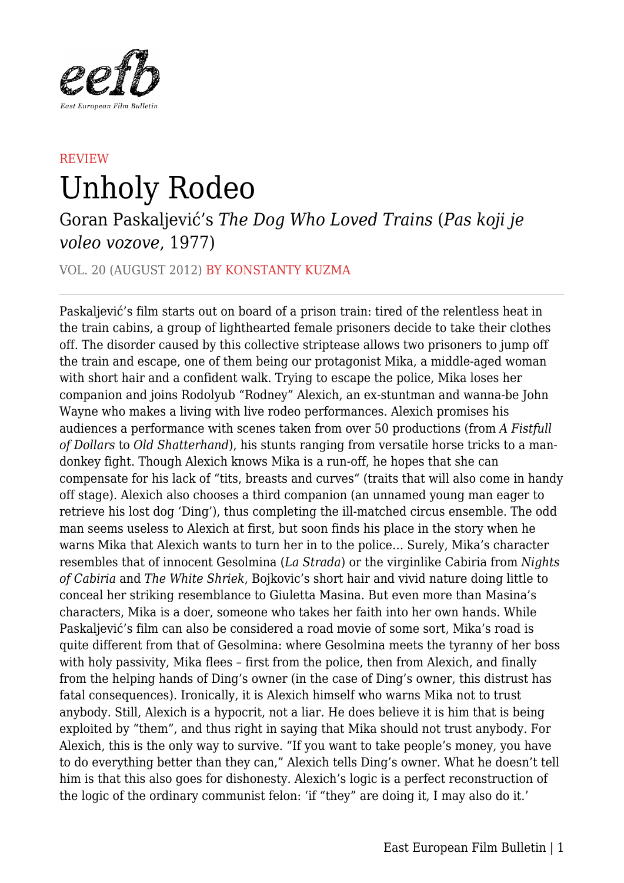

## **REVIEW** Unholy Rodeo

## Goran Paskaljević's *The Dog Who Loved Trains* (*Pas koji je voleo vozove*, 1977)

VOL. 20 (AUGUST 2012) BY KONSTANTY KUZMA

Paskaljević's film starts out on board of a prison train: tired of the relentless heat in the train cabins, a group of lighthearted female prisoners decide to take their clothes off. The disorder caused by this collective striptease allows two prisoners to jump off the train and escape, one of them being our protagonist Mika, a middle-aged woman with short hair and a confident walk. Trying to escape the police, Mika loses her companion and joins Rodolyub "Rodney" Alexich, an ex-stuntman and wanna-be John Wayne who makes a living with live rodeo performances. Alexich promises his audiences a performance with scenes taken from over 50 productions (from *A Fistfull of Dollars* to *Old Shatterhand*), his stunts ranging from versatile horse tricks to a mandonkey fight. Though Alexich knows Mika is a run-off, he hopes that she can compensate for his lack of "tits, breasts and curves" (traits that will also come in handy off stage). Alexich also chooses a third companion (an unnamed young man eager to retrieve his lost dog 'Ding'), thus completing the ill-matched circus ensemble. The odd man seems useless to Alexich at first, but soon finds his place in the story when he warns Mika that Alexich wants to turn her in to the police… Surely, Mika's character resembles that of innocent Gesolmina (*La Strada*) or the virginlike Cabiria from *Nights of Cabiria* and *The White Shriek*, Bojkovic's short hair and vivid nature doing little to conceal her striking resemblance to Giuletta Masina. But even more than Masina's characters, Mika is a doer, someone who takes her faith into her own hands. While Paskaljević's film can also be considered a road movie of some sort, Mika's road is quite different from that of Gesolmina: where Gesolmina meets the tyranny of her boss with holy passivity, Mika flees – first from the police, then from Alexich, and finally from the helping hands of Ding's owner (in the case of Ding's owner, this distrust has fatal consequences). Ironically, it is Alexich himself who warns Mika not to trust anybody. Still, Alexich is a hypocrit, not a liar. He does believe it is him that is being exploited by "them", and thus right in saying that Mika should not trust anybody. For Alexich, this is the only way to survive. "If you want to take people's money, you have to do everything better than they can," Alexich tells Ding's owner. What he doesn't tell him is that this also goes for dishonesty. Alexich's logic is a perfect reconstruction of the logic of the ordinary communist felon: 'if "they" are doing it, I may also do it.'